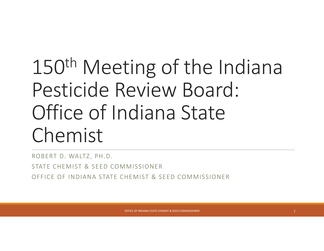## 150th Meeting of the Indiana Pesticide Review Board: Office of Indiana State Chemist

ROBERT D. WALTZ, PH.D.

STATE CHEMIST & SEED COMMISSIONER

OFFICE OF INDIANA STATE CHEMIST & SEED COMMISSIONER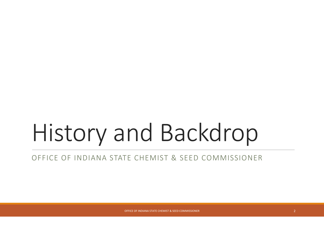## History and Backdrop

#### OFFICE OF INDIANA STATE CHEMIST & SEED COMMISSIONER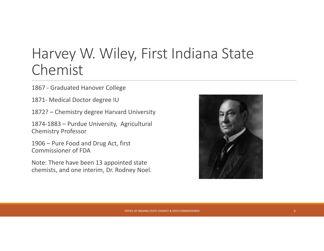#### Harvey W. Wiley, First Indiana State Chemist

1867 ‐ Graduated Hanover College

- 1871‐ Medical Doctor degree IU
- 1872? Chemistry degree Harvard University

1874‐1883 – Purdue University, Agricultural Chemistry Professor

1906 – Pure Food and Drug Act, first Commissioner of FDA

Note: There have been 13 appointed state chemists, and one interim, Dr. Rodney Noel.

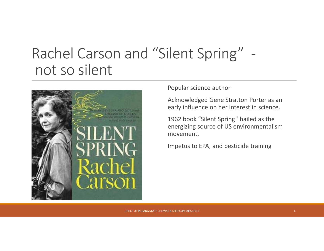#### Rachel Carson and "Silent Spring" ‐ not so silent



Popular science author

Acknowledged Gene Stratton Porter as an early influence on her interest in science.

1962 book "Silent Spring" hailed as the energizing source of US environmentalism movement.

Impetus to EPA, and pesticide training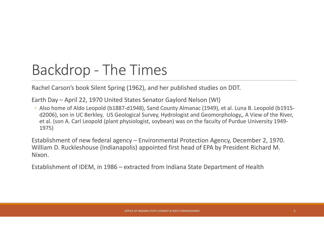### Backdrop ‐ The Times

Rachel Carson's book Silent Spring (1962), and her published studies on DDT.

Earth Day – April 22, 1970 United States Senator Gaylord Nelson (WI)

◦ Also home of Aldo Leopold (b1887‐d1948), Sand County Almanac (1949), et al. Luna B. Leopold (b1915‐ d2006), son in UC Berkley, US Geological Survey, Hydrologist and Geomorphology,, A View of the River, et al. (son A. Carl Leopold (plant physiologist, soybean) was on the faculty of Purdue University 1949‐ 1975)

Establishment of new federal agency – Environmental Protection Agency, December 2, 1970. William D. Ruckleshouse (Indianapolis) appointed first head of EPA by President Richard M. Nixon.

Establishment of IDEM, in 1986 – extracted from Indiana State Department of Health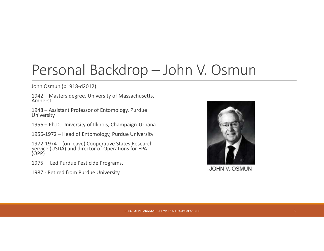#### Personal Backdrop – John V. Osmun

John Osmun (b1918‐d2012)

1942 – Masters degree, University of Massachusetts,<br>Amherst

1948 – Assistant Professor of Entomology, Purdue University

1956 – Ph.D. University of Illinois, Champaign‐Urbana

1956‐1972 – Head of Entomology, Purdue University

1972‐1974 ‐ (on leave) Cooperative States Research Service (USDA) and director of Operations for EPA (OPP)

1975 – Led Purdue Pesticide Programs.

1987 ‐ Retired from Purdue University



**JOHN V OSMUN**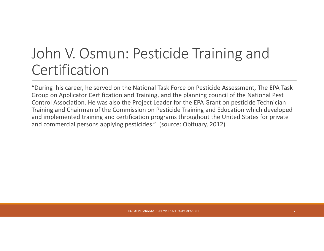#### John V. Osmun: Pesticide Training and **Certification**

"During his career, he served on the National Task Force on Pesticide Assessment, The EPA Task Group on Applicator Certification and Training, and the planning council of the National Pest Control Association. He was also the Project Leader for the EPA Grant on pesticide Technician Training and Chairman of the Commission on Pesticide Training and Education which developed and implemented training and certification programs throughout the United States for private and commercial persons applying pesticides." (source: Obituary, 2012)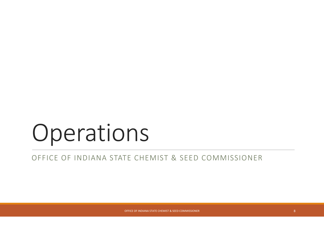## Operations

OFFICE OF INDIANA STATE CHEMIST & SEED COMMISSIONER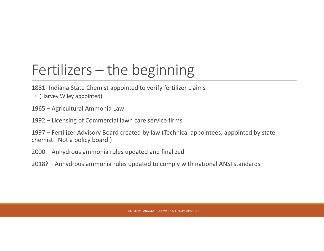### Fertilizers – the beginning

- 1881‐ Indiana State Chemist appointed to verify fertilizer claims
- (Harvey Wiley appointed)
- 1965 Agricultural Ammonia Law
- 1992 Licensing of Commercial lawn care service firms
- 1997 Fertilizer Advisory Board created by law (Technical appointees, appointed by state chemist. Not a policy board.)
- 2000 Anhydrous ammonia rules updated and finalized
- 2018? Anhydrous ammonia rules updated to comply with national ANSI standards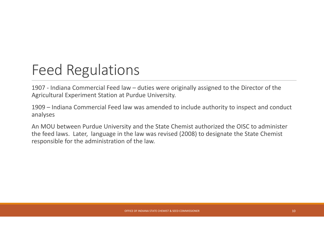#### Feed Regulations

1907 ‐ Indiana Commercial Feed law – duties were originally assigned to the Director of the Agricultural Experiment Station at Purdue University.

1909 – Indiana Commercial Feed law was amended to include authority to inspect and conduct analyses

An MOU between Purdue University and the State Chemist authorized the OISC to administer the feed laws. Later, language in the law was revised (2008) to designate the State Chemist responsible for the administration of the law.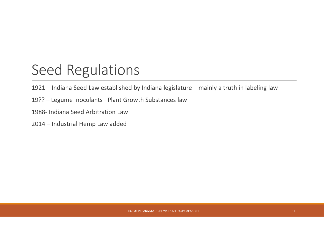#### Seed Regulations

1921 – Indiana Seed Law established by Indiana legislature – mainly <sup>a</sup> truth in labeling law

19?? – Legume Inoculants –Plant Growth Substances law

1988‐ Indiana Seed Arbitration Law

2014 – Industrial Hemp Law added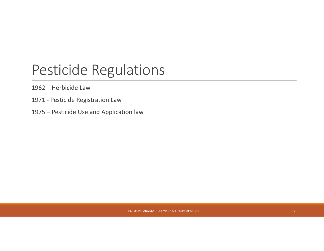#### Pesticide Regulations

1962 – Herbicide Law

- 1971 ‐ Pesticide Registration Law
- 1975 Pesticide Use and Application law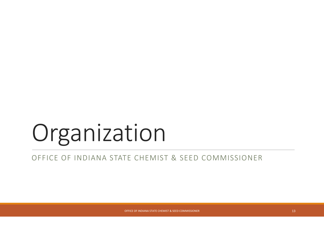# Organization

#### OFFICE OF INDIANA STATE CHEMIST & SEED COMMISSIONER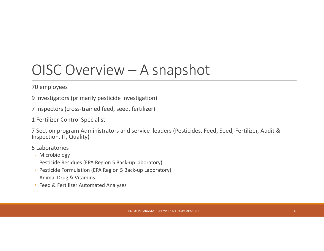#### OISC Overview – A snapshot

70 employees

9 Investigators (primarily pesticide investigation)

7 Inspectors (cross‐trained feed, seed, fertilizer)

1 Fertilizer Control Specialist

7 Section program Administrators and service leaders (Pesticides, Feed, Seed, Fertilizer, Audit & Inspection, IT, Quality)

5 Laboratories

- Microbiology
- Pesticide Residues (EPA Region 5 Back‐up laboratory)
- Pesticide Formulation (EPA Region 5 Back‐up Laboratory)
- Animal Drug & Vitamins
- Feed & Fertilizer Automated Analyses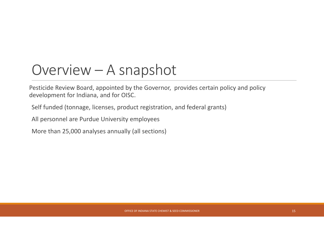#### Overview – A snapshot

Pesticide Review Board, appointed by the Governor, provides certain policy and policy development for Indiana, and for OISC.

Self funded (tonnage, licenses, product registration, and federal grants)

All personnel are Purdue University employees

More than 25,000 analyses annually (all sections)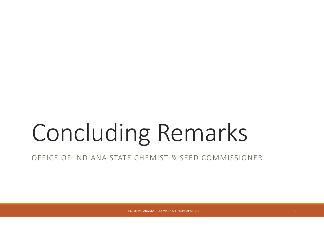# Concluding Remarks

#### OFFICE OF INDIANA STATE CHEMIST & SEED COMMISSIONER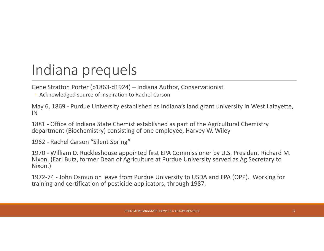### Indiana prequels

Gene Stratton Porter (b1863‐d1924) – Indiana Author, Conservationist

◦ Acknowledged source of inspiration to Rachel Carson

May 6, 1869 ‐ Purdue University established as Indiana's land grant university in West Lafayette, IN

1881 ‐ Office of Indiana State Chemist established as part of the Agricultural Chemistry department (Biochemistry) consisting of one employee, Harvey W. Wiley

1962 ‐ Rachel Carson "Silent Spring"

1970 ‐ William D. Ruckleshouse appointed first EPA Commissioner by U.S. President Richard M. Nixon. (Earl Butz, former Dean of Agriculture at Purdue University served as Ag Secretary to Nixon.)

1972‐74 ‐ John Osmun on leave from Purdue University to USDA and EPA (OPP). Working for training and certification of pesticide applicators, through 1987.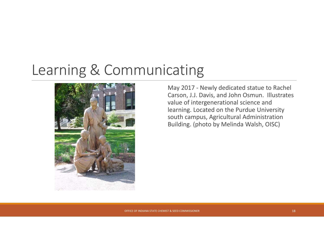#### Learning & Communicating



May 2017 ‐ Newly dedicated statue to Rachel Carson, J.J. Davis, and John Osmun. Illustrates value of intergenerational science and learning. Located on the Purdue University south campus, Agricultural Administration Building. (photo by Melinda Walsh, OISC)